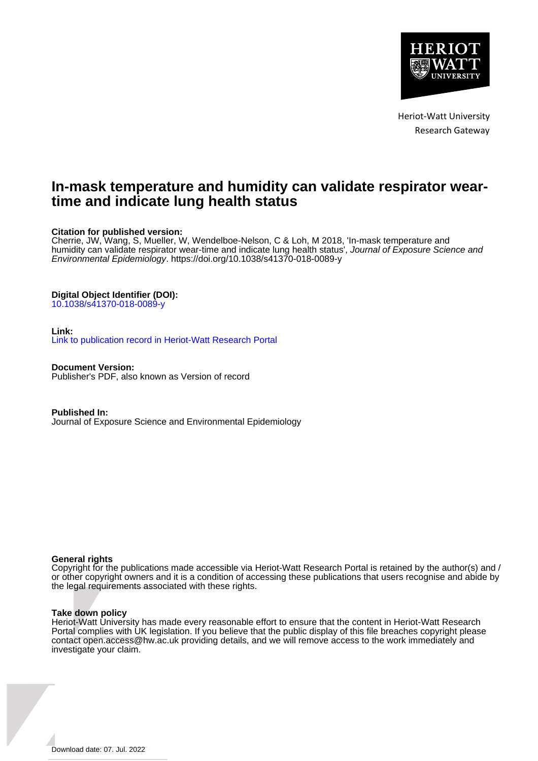

Heriot-Watt University Research Gateway

# **In-mask temperature and humidity can validate respirator weartime and indicate lung health status**

# **Citation for published version:**

Cherrie, JW, Wang, S, Mueller, W, Wendelboe-Nelson, C & Loh, M 2018, 'In-mask temperature and humidity can validate respirator wear-time and indicate lung health status', Journal of Exposure Science and Environmental Epidemiology.<https://doi.org/10.1038/s41370-018-0089-y>

# **Digital Object Identifier (DOI):**

[10.1038/s41370-018-0089-y](https://doi.org/10.1038/s41370-018-0089-y)

## **Link:**

[Link to publication record in Heriot-Watt Research Portal](https://researchportal.hw.ac.uk/en/publications/26b03107-d933-4bb5-8e3a-7b56c1494e34)

**Document Version:** Publisher's PDF, also known as Version of record

**Published In:** Journal of Exposure Science and Environmental Epidemiology

## **General rights**

Copyright for the publications made accessible via Heriot-Watt Research Portal is retained by the author(s) and / or other copyright owners and it is a condition of accessing these publications that users recognise and abide by the legal requirements associated with these rights.

## **Take down policy**

Heriot-Watt University has made every reasonable effort to ensure that the content in Heriot-Watt Research Portal complies with UK legislation. If you believe that the public display of this file breaches copyright please contact open.access@hw.ac.uk providing details, and we will remove access to the work immediately and investigate your claim.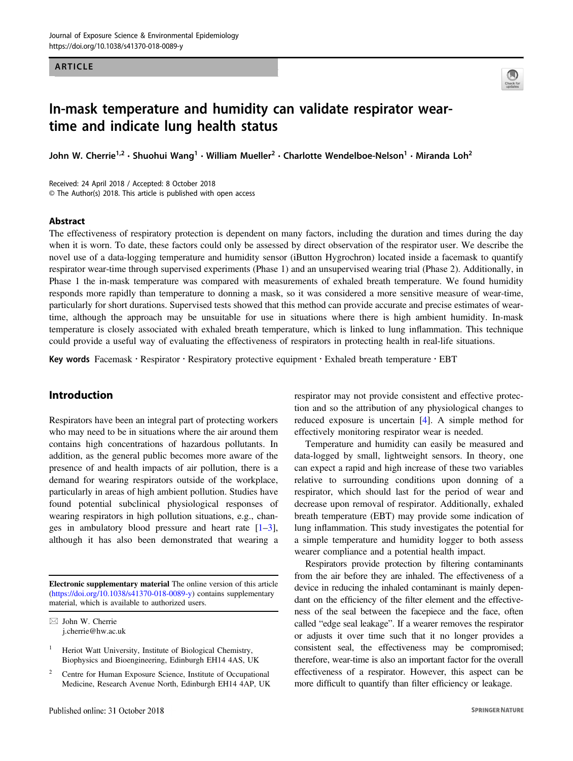#### ARTICLE



# In-mask temperature and humidity can validate respirator weartime and indicate lung health status

John W. Cherrie<sup>1,2</sup> • Shuohui Wang<sup>1</sup> • William Mueller<sup>2</sup> • Charlotte Wendelboe-Nelson<sup>1</sup> • Miranda Loh<sup>2</sup>

Received: 24 April 2018 / Accepted: 8 October 2018 © The Author(s) 2018. This article is published with open access

#### Abstract

The effectiveness of respiratory protection is dependent on many factors, including the duration and times during the day when it is worn. To date, these factors could only be assessed by direct observation of the respirator user. We describe the novel use of a data-logging temperature and humidity sensor (iButton Hygrochron) located inside a facemask to quantify respirator wear-time through supervised experiments (Phase 1) and an unsupervised wearing trial (Phase 2). Additionally, in Phase 1 the in-mask temperature was compared with measurements of exhaled breath temperature. We found humidity responds more rapidly than temperature to donning a mask, so it was considered a more sensitive measure of wear-time, particularly for short durations. Supervised tests showed that this method can provide accurate and precise estimates of weartime, although the approach may be unsuitable for use in situations where there is high ambient humidity. In-mask temperature is closely associated with exhaled breath temperature, which is linked to lung inflammation. This technique could provide a useful way of evaluating the effectiveness of respirators in protecting health in real-life situations.

Key words Facemask · Respirator · Respiratory protective equipment · Exhaled breath temperature · EBT

# Introduction

Respirators have been an integral part of protecting workers who may need to be in situations where the air around them contains high concentrations of hazardous pollutants. In addition, as the general public becomes more aware of the presence of and health impacts of air pollution, there is a demand for wearing respirators outside of the workplace, particularly in areas of high ambient pollution. Studies have found potential subclinical physiological responses of wearing respirators in high pollution situations, e.g., changes in ambulatory blood pressure and heart rate  $[1-3]$  $[1-3]$  $[1-3]$  $[1-3]$ , although it has also been demonstrated that wearing a

Electronic supplementary material The online version of this article ([https://doi.org/10.1038/s41370-018-0089-y\)](https://doi.org/10.1038/s41370-018-0089-y) contains supplementary material, which is available to authorized users.

respirator may not provide consistent and effective protection and so the attribution of any physiological changes to reduced exposure is uncertain [\[4](#page-6-0)]. A simple method for effectively monitoring respirator wear is needed.

Temperature and humidity can easily be measured and data-logged by small, lightweight sensors. In theory, one can expect a rapid and high increase of these two variables relative to surrounding conditions upon donning of a respirator, which should last for the period of wear and decrease upon removal of respirator. Additionally, exhaled breath temperature (EBT) may provide some indication of lung inflammation. This study investigates the potential for a simple temperature and humidity logger to both assess wearer compliance and a potential health impact.

Respirators provide protection by filtering contaminants from the air before they are inhaled. The effectiveness of a device in reducing the inhaled contaminant is mainly dependant on the efficiency of the filter element and the effectiveness of the seal between the facepiece and the face, often called "edge seal leakage". If a wearer removes the respirator or adjusts it over time such that it no longer provides a consistent seal, the effectiveness may be compromised; therefore, wear-time is also an important factor for the overall effectiveness of a respirator. However, this aspect can be more difficult to quantify than filter efficiency or leakage.

 $\boxtimes$  John W. Cherrie [j.cherrie@hw.ac.uk](mailto:j.cherrie@hw.ac.uk)

Heriot Watt University, Institute of Biological Chemistry, Biophysics and Bioengineering, Edinburgh EH14 4AS, UK

<sup>&</sup>lt;sup>2</sup> Centre for Human Exposure Science, Institute of Occupational Medicine, Research Avenue North, Edinburgh EH14 4AP, UK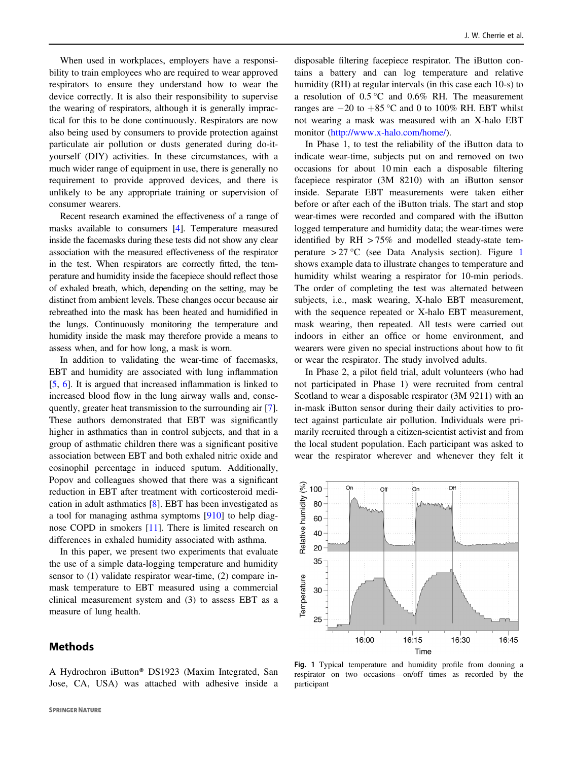When used in workplaces, employers have a responsibility to train employees who are required to wear approved respirators to ensure they understand how to wear the device correctly. It is also their responsibility to supervise the wearing of respirators, although it is generally impractical for this to be done continuously. Respirators are now also being used by consumers to provide protection against particulate air pollution or dusts generated during do-ityourself (DIY) activities. In these circumstances, with a much wider range of equipment in use, there is generally no requirement to provide approved devices, and there is unlikely to be any appropriate training or supervision of consumer wearers.

Recent research examined the effectiveness of a range of masks available to consumers [\[4](#page-6-0)]. Temperature measured inside the facemasks during these tests did not show any clear association with the measured effectiveness of the respirator in the test. When respirators are correctly fitted, the temperature and humidity inside the facepiece should reflect those of exhaled breath, which, depending on the setting, may be distinct from ambient levels. These changes occur because air rebreathed into the mask has been heated and humidified in the lungs. Continuously monitoring the temperature and humidity inside the mask may therefore provide a means to assess when, and for how long, a mask is worn.

In addition to validating the wear-time of facemasks, EBT and humidity are associated with lung inflammation [\[5](#page-6-0), [6](#page-6-0)]. It is argued that increased inflammation is linked to increased blood flow in the lung airway walls and, consequently, greater heat transmission to the surrounding air [\[7](#page-6-0)]. These authors demonstrated that EBT was significantly higher in asthmatics than in control subjects, and that in a group of asthmatic children there was a significant positive association between EBT and both exhaled nitric oxide and eosinophil percentage in induced sputum. Additionally, Popov and colleagues showed that there was a significant reduction in EBT after treatment with corticosteroid medication in adult asthmatics [\[8](#page-6-0)]. EBT has been investigated as a tool for managing asthma symptoms [\[910](#page-6-0)] to help diagnose COPD in smokers [[11\]](#page-6-0). There is limited research on differences in exhaled humidity associated with asthma.

In this paper, we present two experiments that evaluate the use of a simple data-logging temperature and humidity sensor to (1) validate respirator wear-time, (2) compare inmask temperature to EBT measured using a commercial clinical measurement system and (3) to assess EBT as a measure of lung health.

A Hydrochron iButton® DS1923 (Maxim Integrated, San

# **Methods**

disposable filtering facepiece respirator. The iButton contains a battery and can log temperature and relative humidity (RH) at regular intervals (in this case each 10-s) to a resolution of  $0.5^{\circ}$ C and  $0.6\%$  RH. The measurement ranges are  $-20$  to  $+85$  °C and 0 to 100% RH. EBT whilst not wearing a mask was measured with an X-halo EBT monitor ([http://www.x-halo.com/home/\)](http://www.x-halo.com/home/).

In Phase 1, to test the reliability of the iButton data to indicate wear-time, subjects put on and removed on two occasions for about 10 min each a disposable filtering facepiece respirator (3M 8210) with an iButton sensor inside. Separate EBT measurements were taken either before or after each of the iButton trials. The start and stop wear-times were recorded and compared with the iButton logged temperature and humidity data; the wear-times were identified by RH > 75% and modelled steady-state temperature > 27 °C (see Data Analysis section). Figure 1 shows example data to illustrate changes to temperature and humidity whilst wearing a respirator for 10-min periods. The order of completing the test was alternated between subjects, i.e., mask wearing, X-halo EBT measurement, with the sequence repeated or X-halo EBT measurement, mask wearing, then repeated. All tests were carried out indoors in either an office or home environment, and wearers were given no special instructions about how to fit or wear the respirator. The study involved adults.

In Phase 2, a pilot field trial, adult volunteers (who had not participated in Phase 1) were recruited from central Scotland to wear a disposable respirator (3M 9211) with an in-mask iButton sensor during their daily activities to protect against particulate air pollution. Individuals were primarily recruited through a citizen-scientist activist and from the local student population. Each participant was asked to wear the respirator wherever and whenever they felt it



Fig. 1 Typical temperature and humidity profile from donning a respirator on two occasions—on/off times as recorded by the participant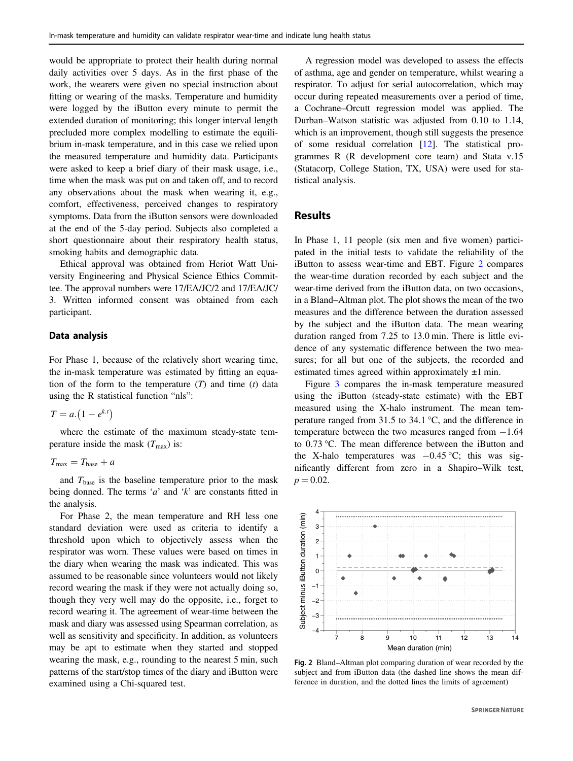would be appropriate to protect their health during normal daily activities over 5 days. As in the first phase of the work, the wearers were given no special instruction about fitting or wearing of the masks. Temperature and humidity were logged by the iButton every minute to permit the extended duration of monitoring; this longer interval length precluded more complex modelling to estimate the equilibrium in-mask temperature, and in this case we relied upon the measured temperature and humidity data. Participants were asked to keep a brief diary of their mask usage, i.e., time when the mask was put on and taken off, and to record any observations about the mask when wearing it, e.g., comfort, effectiveness, perceived changes to respiratory symptoms. Data from the iButton sensors were downloaded at the end of the 5-day period. Subjects also completed a short questionnaire about their respiratory health status, smoking habits and demographic data.

Ethical approval was obtained from Heriot Watt University Engineering and Physical Science Ethics Committee. The approval numbers were 17/EA/JC/2 and 17/EA/JC/ 3. Written informed consent was obtained from each participant.

## Data analysis

For Phase 1, because of the relatively short wearing time, the in-mask temperature was estimated by fitting an equation of the form to the temperature  $(T)$  and time  $(t)$  data using the R statistical function "nls":

$$
T = a.\left(1 - e^{k.t}\right)
$$

where the estimate of the maximum steady-state temperature inside the mask  $(T_{\text{max}})$  is:

$$
T_{\text{max}} = T_{\text{base}} + a
$$

and  $T_{base}$  is the baseline temperature prior to the mask being donned. The terms 'a' and ' $k$ ' are constants fitted in the analysis.

For Phase 2, the mean temperature and RH less one standard deviation were used as criteria to identify a threshold upon which to objectively assess when the respirator was worn. These values were based on times in the diary when wearing the mask was indicated. This was assumed to be reasonable since volunteers would not likely record wearing the mask if they were not actually doing so, though they very well may do the opposite, i.e., forget to record wearing it. The agreement of wear-time between the mask and diary was assessed using Spearman correlation, as well as sensitivity and specificity. In addition, as volunteers may be apt to estimate when they started and stopped wearing the mask, e.g., rounding to the nearest 5 min, such patterns of the start/stop times of the diary and iButton were examined using a Chi-squared test.

A regression model was developed to assess the effects of asthma, age and gender on temperature, whilst wearing a respirator. To adjust for serial autocorrelation, which may occur during repeated measurements over a period of time, a Cochrane–Orcutt regression model was applied. The Durban–Watson statistic was adjusted from 0.10 to 1.14, which is an improvement, though still suggests the presence of some residual correlation [\[12](#page-6-0)]. The statistical programmes R (R development core team) and Stata v.15 (Statacorp, College Station, TX, USA) were used for statistical analysis.

## **Results**

In Phase 1, 11 people (six men and five women) participated in the initial tests to validate the reliability of the iButton to assess wear-time and EBT. Figure 2 compares the wear-time duration recorded by each subject and the wear-time derived from the iButton data, on two occasions, in a Bland–Altman plot. The plot shows the mean of the two measures and the difference between the duration assessed by the subject and the iButton data. The mean wearing duration ranged from 7.25 to 13.0 min. There is little evidence of any systematic difference between the two measures; for all but one of the subjects, the recorded and estimated times agreed within approximately  $\pm 1$  min.

Figure [3](#page-4-0) compares the in-mask temperature measured using the iButton (steady-state estimate) with the EBT measured using the X-halo instrument. The mean temperature ranged from 31.5 to 34.1 °C, and the difference in temperature between the two measures ranged from −1.64 to 0.73 °C. The mean difference between the iButton and the X-halo temperatures was  $-0.45$  °C; this was significantly different from zero in a Shapiro–Wilk test,  $p = 0.02$ .



Fig. 2 Bland–Altman plot comparing duration of wear recorded by the subject and from iButton data (the dashed line shows the mean difference in duration, and the dotted lines the limits of agreement)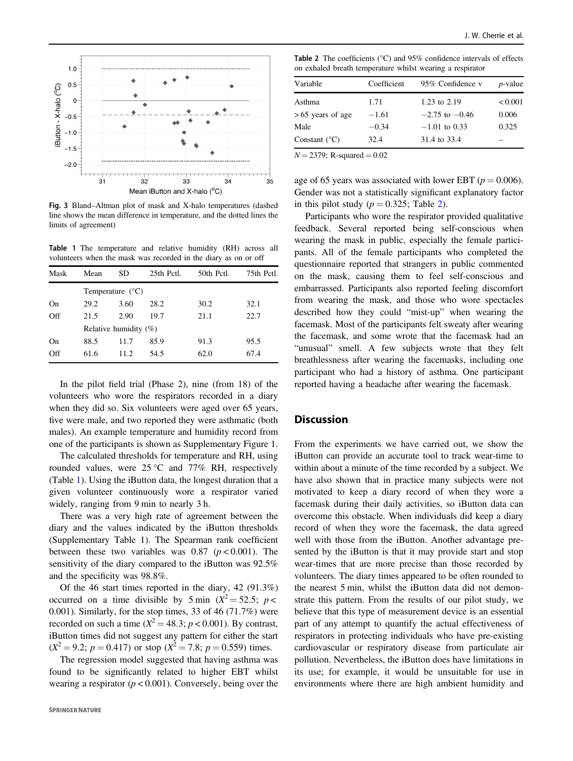<span id="page-4-0"></span>

Fig. 3 Bland–Altman plot of mask and X-halo temperatures (dashed line shows the mean difference in temperature, and the dotted lines the limits of agreement)

Table 1 The temperature and relative humidity (RH) across all volunteers when the mask was recorded in the diary as on or off

| Mask | Mean                     | SD                        | 25th Pctl. | 50th Pctl. | 75th Pctl. |  |
|------|--------------------------|---------------------------|------------|------------|------------|--|
|      |                          | Temperature $(^{\circ}C)$ |            |            |            |  |
| On   | 29.2                     | 3.60                      | 28.2       | 30.2       | 32.1       |  |
| Off  | 21.5                     | 2.90                      | 19.7       | 21.1       | 22.7       |  |
|      | Relative humidity $(\%)$ |                           |            |            |            |  |
| On   | 88.5                     | 11.7                      | 85.9       | 91.3       | 95.5       |  |
| Off  | 61.6                     | 11.2.                     | 54.5       | 62.0       | 67.4       |  |

In the pilot field trial (Phase 2), nine (from 18) of the volunteers who wore the respirators recorded in a diary when they did so. Six volunteers were aged over 65 years, five were male, and two reported they were asthmatic (both males). An example temperature and humidity record from one of the participants is shown as Supplementary Figure 1.

The calculated thresholds for temperature and RH, using rounded values, were  $25^{\circ}$ C and  $77\%$  RH, respectively (Table 1). Using the iButton data, the longest duration that a given volunteer continuously wore a respirator varied widely, ranging from 9 min to nearly 3 h.

There was a very high rate of agreement between the diary and the values indicated by the iButton thresholds (Supplementary Table 1). The Spearman rank coefficient between these two variables was  $0.87$  ( $p < 0.001$ ). The sensitivity of the diary compared to the iButton was 92.5% and the specificity was 98.8%.

Of the 46 start times reported in the diary, 42 (91.3%) occurred on a time divisible by 5 min  $(X^2 = 52.5; p <$ 0.001). Similarly, for the stop times, 33 of 46 (71.7%) were recorded on such a time ( $X^2 = 48.3$ ;  $p < 0.001$ ). By contrast, iButton times did not suggest any pattern for either the start  $(X^2 = 9.2; p = 0.417)$  or stop  $(X^2 = 7.8; p = 0.559)$  times.

The regression model suggested that having asthma was found to be significantly related to higher EBT whilst wearing a respirator ( $p < 0.001$ ). Conversely, being over the

**Table 2** The coefficients ( $^{\circ}$ C) and 95% confidence intervals of effects on exhaled breath temperature whilst wearing a respirator

| 1.71    | 1.23 to 2.19       | < 0.001 |
|---------|--------------------|---------|
| $-1.61$ | $-2.75$ to $-0.46$ | 0.006   |
| $-0.34$ | $-1.01$ to 0.33    | 0.325   |
| 32.4    | 31.4 to 33.4       |         |
|         |                    |         |

 $N = 2379$ ; R-squared  $= 0.02$ 

age of 65 years was associated with lower EBT ( $p = 0.006$ ). Gender was not a statistically significant explanatory factor in this pilot study ( $p = 0.325$ ; Table 2).

Participants who wore the respirator provided qualitative feedback. Several reported being self-conscious when wearing the mask in public, especially the female participants. All of the female participants who completed the questionnaire reported that strangers in public commented on the mask, causing them to feel self-conscious and embarrassed. Participants also reported feeling discomfort from wearing the mask, and those who wore spectacles described how they could "mist-up" when wearing the facemask. Most of the participants felt sweaty after wearing the facemask, and some wrote that the facemask had an "unusual" smell. A few subjects wrote that they felt breathlessness after wearing the facemasks, including one participant who had a history of asthma. One participant reported having a headache after wearing the facemask.

# **Discussion**

From the experiments we have carried out, we show the iButton can provide an accurate tool to track wear-time to within about a minute of the time recorded by a subject. We have also shown that in practice many subjects were not motivated to keep a diary record of when they wore a facemask during their daily activities, so iButton data can overcome this obstacle. When individuals did keep a diary record of when they wore the facemask, the data agreed well with those from the iButton. Another advantage presented by the iButton is that it may provide start and stop wear-times that are more precise than those recorded by volunteers. The diary times appeared to be often rounded to the nearest 5 min, whilst the iButton data did not demonstrate this pattern. From the results of our pilot study, we believe that this type of measurement device is an essential part of any attempt to quantify the actual effectiveness of respirators in protecting individuals who have pre-existing cardiovascular or respiratory disease from particulate air pollution. Nevertheless, the iButton does have limitations in its use; for example, it would be unsuitable for use in environments where there are high ambient humidity and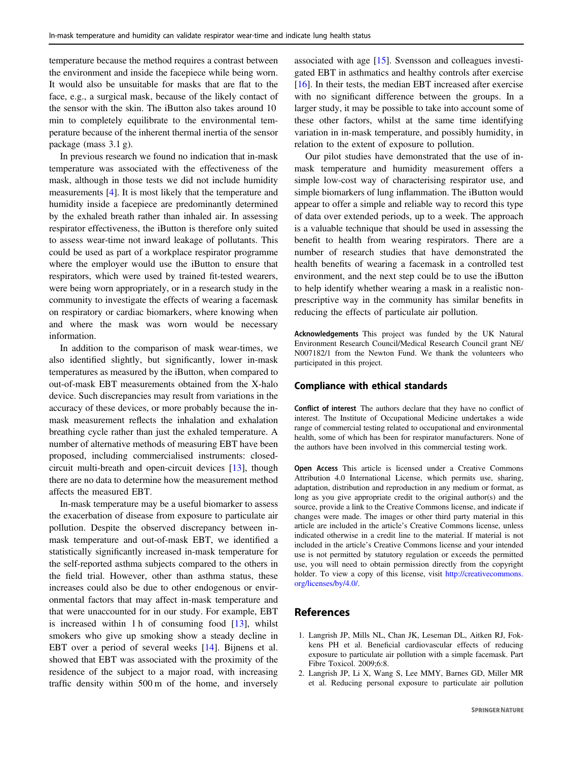<span id="page-5-0"></span>temperature because the method requires a contrast between the environment and inside the facepiece while being worn. It would also be unsuitable for masks that are flat to the face, e.g., a surgical mask, because of the likely contact of the sensor with the skin. The iButton also takes around 10 min to completely equilibrate to the environmental temperature because of the inherent thermal inertia of the sensor package (mass 3.1 g).

In previous research we found no indication that in-mask temperature was associated with the effectiveness of the mask, although in those tests we did not include humidity measurements [\[4\]](#page-6-0). It is most likely that the temperature and humidity inside a facepiece are predominantly determined by the exhaled breath rather than inhaled air. In assessing respirator effectiveness, the iButton is therefore only suited to assess wear-time not inward leakage of pollutants. This could be used as part of a workplace respirator programme where the employer would use the iButton to ensure that respirators, which were used by trained fit-tested wearers, were being worn appropriately, or in a research study in the community to investigate the effects of wearing a facemask on respiratory or cardiac biomarkers, where knowing when and where the mask was worn would be necessary information.

In addition to the comparison of mask wear-times, we also identified slightly, but significantly, lower in-mask temperatures as measured by the iButton, when compared to out-of-mask EBT measurements obtained from the X-halo device. Such discrepancies may result from variations in the accuracy of these devices, or more probably because the inmask measurement reflects the inhalation and exhalation breathing cycle rather than just the exhaled temperature. A number of alternative methods of measuring EBT have been proposed, including commercialised instruments: closedcircuit multi-breath and open-circuit devices [\[13](#page-6-0)], though there are no data to determine how the measurement method affects the measured EBT.

In-mask temperature may be a useful biomarker to assess the exacerbation of disease from exposure to particulate air pollution. Despite the observed discrepancy between inmask temperature and out-of-mask EBT, we identified a statistically significantly increased in-mask temperature for the self-reported asthma subjects compared to the others in the field trial. However, other than asthma status, these increases could also be due to other endogenous or environmental factors that may affect in-mask temperature and that were unaccounted for in our study. For example, EBT is increased within 1 h of consuming food [[13\]](#page-6-0), whilst smokers who give up smoking show a steady decline in EBT over a period of several weeks [[14\]](#page-6-0). Bijnens et al. showed that EBT was associated with the proximity of the residence of the subject to a major road, with increasing traffic density within 500 m of the home, and inversely

associated with age [[15\]](#page-6-0). Svensson and colleagues investigated EBT in asthmatics and healthy controls after exercise [\[16](#page-6-0)]. In their tests, the median EBT increased after exercise with no significant difference between the groups. In a larger study, it may be possible to take into account some of these other factors, whilst at the same time identifying variation in in-mask temperature, and possibly humidity, in relation to the extent of exposure to pollution.

Our pilot studies have demonstrated that the use of inmask temperature and humidity measurement offers a simple low-cost way of characterising respirator use, and simple biomarkers of lung inflammation. The iButton would appear to offer a simple and reliable way to record this type of data over extended periods, up to a week. The approach is a valuable technique that should be used in assessing the benefit to health from wearing respirators. There are a number of research studies that have demonstrated the health benefits of wearing a facemask in a controlled test environment, and the next step could be to use the iButton to help identify whether wearing a mask in a realistic nonprescriptive way in the community has similar benefits in reducing the effects of particulate air pollution.

Acknowledgements This project was funded by the UK Natural Environment Research Council/Medical Research Council grant NE/ N007182/1 from the Newton Fund. We thank the volunteers who participated in this project.

#### Compliance with ethical standards

Conflict of interest The authors declare that they have no conflict of interest. The Institute of Occupational Medicine undertakes a wide range of commercial testing related to occupational and environmental health, some of which has been for respirator manufacturers. None of the authors have been involved in this commercial testing work.

Open Access This article is licensed under a Creative Commons Attribution 4.0 International License, which permits use, sharing, adaptation, distribution and reproduction in any medium or format, as long as you give appropriate credit to the original author(s) and the source, provide a link to the Creative Commons license, and indicate if changes were made. The images or other third party material in this article are included in the article's Creative Commons license, unless indicated otherwise in a credit line to the material. If material is not included in the article's Creative Commons license and your intended use is not permitted by statutory regulation or exceeds the permitted use, you will need to obtain permission directly from the copyright holder. To view a copy of this license, visit [http://creativecommons.](http://creativecommons.org/licenses/by/4.0/) [org/licenses/by/4.0/](http://creativecommons.org/licenses/by/4.0/).

# References

- 1. Langrish JP, Mills NL, Chan JK, Leseman DL, Aitken RJ, Fokkens PH et al. Beneficial cardiovascular effects of reducing exposure to particulate air pollution with a simple facemask. Part Fibre Toxicol. 2009;6:8.
- 2. Langrish JP, Li X, Wang S, Lee MMY, Barnes GD, Miller MR et al. Reducing personal exposure to particulate air pollution